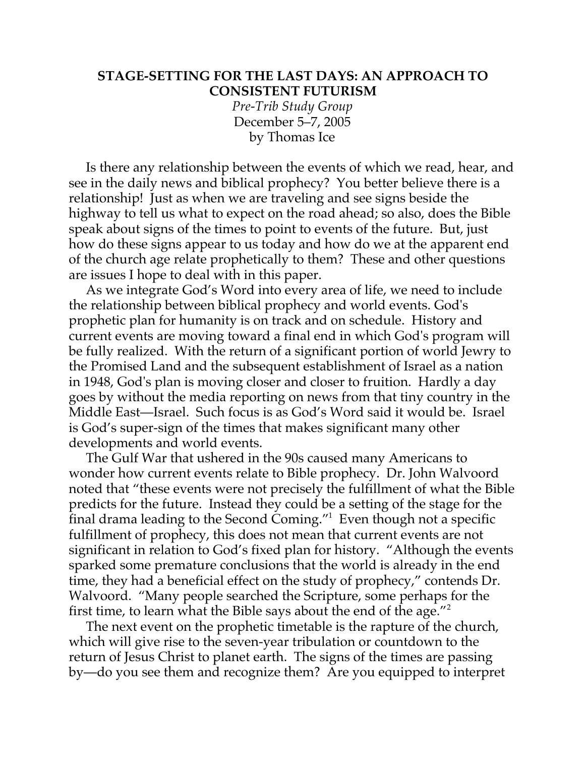## **STAGE-SETTING FOR THE LAST DAYS: AN APPROACH TO CONSISTENT FUTURISM**

*Pre-Trib Study Group* December 5–7, 2005 by Thomas Ice

Is there any relationship between the events of which we read, hear, and see in the daily news and biblical prophecy? You better believe there is a relationship! Just as when we are traveling and see signs beside the highway to tell us what to expect on the road ahead; so also, does the Bible speak about signs of the times to point to events of the future. But, just how do these signs appear to us today and how do we at the apparent end of the church age relate prophetically to them? These and other questions are issues I hope to deal with in this paper.

As we integrate God's Word into every area of life, we need to include the relationship between biblical prophecy and world events. God's prophetic plan for humanity is on track and on schedule. History and current events are moving toward a final end in which God's program will be fully realized. With the return of a significant portion of world Jewry to the Promised Land and the subsequent establishment of Israel as a nation in 1948, God's plan is moving closer and closer to fruition. Hardly a day goes by without the media reporting on news from that tiny country in the Middle East—Israel. Such focus is as God's Word said it would be. Israel is God's super-sign of the times that makes significant many other developments and world events.

The Gulf War that ushered in the 90s caused many Americans to wonder how current events relate to Bible prophecy. Dr. John Walvoord noted that "these events were not precisely the fulfillment of what the Bible predicts for the future. Instead they could be a setting of the stage for the  $\tilde{\rm{f}}$ inal drama leading to the Second Coming." $^1$  Even though not a specific fulfillment of prophecy, this does not mean that current events are not significant in relation to God's fixed plan for history. "Although the events sparked some premature conclusions that the world is already in the end time, they had a beneficial effect on the study of prophecy," contends Dr. Walvoord. "Many people searched the Scripture, some perhaps for the first time, to learn what the Bible says about the end of the age."<sup>2</sup>

The next event on the prophetic timetable is the rapture of the church, which will give rise to the seven-year tribulation or countdown to the return of Jesus Christ to planet earth. The signs of the times are passing by—do you see them and recognize them? Are you equipped to interpret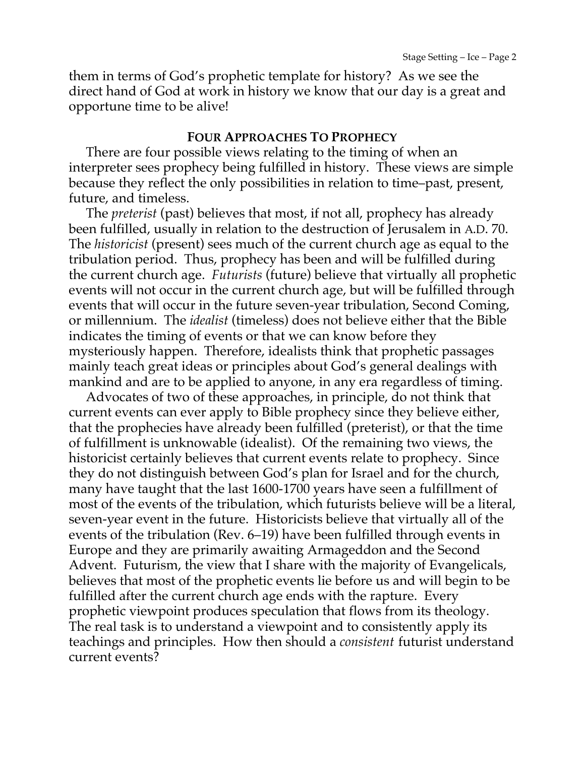them in terms of God's prophetic template for history? As we see the direct hand of God at work in history we know that our day is a great and opportune time to be alive!

#### **FOUR APPROACHES TO PROPHECY**

There are four possible views relating to the timing of when an interpreter sees prophecy being fulfilled in history. These views are simple because they reflect the only possibilities in relation to time–past, present, future, and timeless.

The *preterist* (past) believes that most, if not all, prophecy has already been fulfilled, usually in relation to the destruction of Jerusalem in A.D. 70. The *historicist* (present) sees much of the current church age as equal to the tribulation period. Thus, prophecy has been and will be fulfilled during the current church age. *Futurists* (future) believe that virtually all prophetic events will not occur in the current church age, but will be fulfilled through events that will occur in the future seven-year tribulation, Second Coming, or millennium. The *idealist* (timeless) does not believe either that the Bible indicates the timing of events or that we can know before they mysteriously happen. Therefore, idealists think that prophetic passages mainly teach great ideas or principles about God's general dealings with mankind and are to be applied to anyone, in any era regardless of timing.

Advocates of two of these approaches, in principle, do not think that current events can ever apply to Bible prophecy since they believe either, that the prophecies have already been fulfilled (preterist), or that the time of fulfillment is unknowable (idealist). Of the remaining two views, the historicist certainly believes that current events relate to prophecy. Since they do not distinguish between God's plan for Israel and for the church, many have taught that the last 1600-1700 years have seen a fulfillment of most of the events of the tribulation, which futurists believe will be a literal, seven-year event in the future. Historicists believe that virtually all of the events of the tribulation (Rev. 6–19) have been fulfilled through events in Europe and they are primarily awaiting Armageddon and the Second Advent. Futurism, the view that I share with the majority of Evangelicals, believes that most of the prophetic events lie before us and will begin to be fulfilled after the current church age ends with the rapture. Every prophetic viewpoint produces speculation that flows from its theology. The real task is to understand a viewpoint and to consistently apply its teachings and principles. How then should a *consistent* futurist understand current events?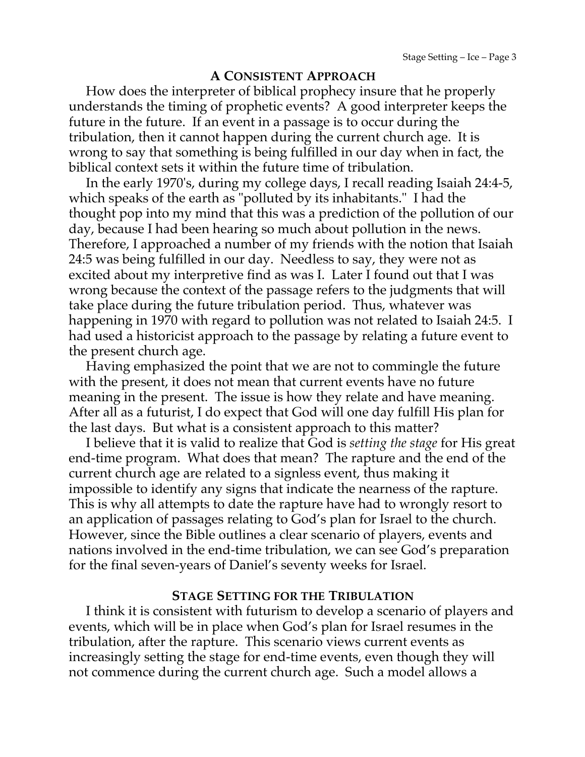### **A CONSISTENT APPROACH**

How does the interpreter of biblical prophecy insure that he properly understands the timing of prophetic events? A good interpreter keeps the future in the future. If an event in a passage is to occur during the tribulation, then it cannot happen during the current church age. It is wrong to say that something is being fulfilled in our day when in fact, the biblical context sets it within the future time of tribulation.

In the early 1970's, during my college days, I recall reading Isaiah 24:4-5, which speaks of the earth as "polluted by its inhabitants." I had the thought pop into my mind that this was a prediction of the pollution of our day, because I had been hearing so much about pollution in the news. Therefore, I approached a number of my friends with the notion that Isaiah 24:5 was being fulfilled in our day. Needless to say, they were not as excited about my interpretive find as was I. Later I found out that I was wrong because the context of the passage refers to the judgments that will take place during the future tribulation period. Thus, whatever was happening in 1970 with regard to pollution was not related to Isaiah 24:5. I had used a historicist approach to the passage by relating a future event to the present church age.

Having emphasized the point that we are not to commingle the future with the present, it does not mean that current events have no future meaning in the present. The issue is how they relate and have meaning. After all as a futurist, I do expect that God will one day fulfill His plan for the last days. But what is a consistent approach to this matter?

I believe that it is valid to realize that God is *setting the stage* for His great end-time program. What does that mean? The rapture and the end of the current church age are related to a signless event, thus making it impossible to identify any signs that indicate the nearness of the rapture. This is why all attempts to date the rapture have had to wrongly resort to an application of passages relating to God's plan for Israel to the church. However, since the Bible outlines a clear scenario of players, events and nations involved in the end-time tribulation, we can see God's preparation for the final seven-years of Daniel's seventy weeks for Israel.

#### **STAGE SETTING FOR THE TRIBULATION**

I think it is consistent with futurism to develop a scenario of players and events, which will be in place when God's plan for Israel resumes in the tribulation, after the rapture. This scenario views current events as increasingly setting the stage for end-time events, even though they will not commence during the current church age. Such a model allows a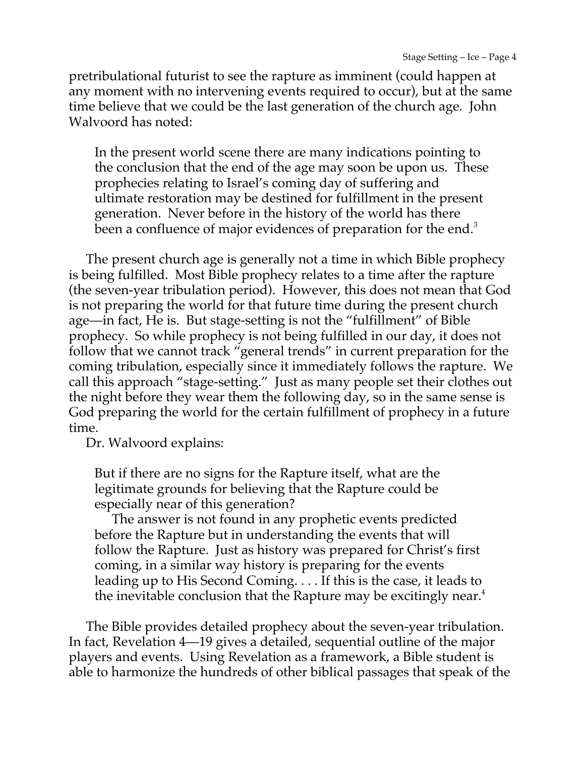pretribulational futurist to see the rapture as imminent (could happen at any moment with no intervening events required to occur), but at the same time believe that we could be the last generation of the church age. John Walvoord has noted:

In the present world scene there are many indications pointing to the conclusion that the end of the age may soon be upon us. These prophecies relating to Israel's coming day of suffering and ultimate restoration may be destined for fulfillment in the present generation. Never before in the history of the world has there been a confluence of major evidences of preparation for the end.<sup>3</sup>

The present church age is generally not a time in which Bible prophecy is being fulfilled. Most Bible prophecy relates to a time after the rapture (the seven-year tribulation period). However, this does not mean that God is not preparing the world for that future time during the present church age—in fact, He is. But stage-setting is not the "fulfillment" of Bible prophecy. So while prophecy is not being fulfilled in our day, it does not follow that we cannot track "general trends" in current preparation for the coming tribulation, especially since it immediately follows the rapture. We call this approach "stage-setting." Just as many people set their clothes out the night before they wear them the following day, so in the same sense is God preparing the world for the certain fulfillment of prophecy in a future time.

Dr. Walvoord explains:

But if there are no signs for the Rapture itself, what are the legitimate grounds for believing that the Rapture could be especially near of this generation?

The answer is not found in any prophetic events predicted before the Rapture but in understanding the events that will follow the Rapture. Just as history was prepared for Christ's first coming, in a similar way history is preparing for the events leading up to His Second Coming. . . . If this is the case, it leads to the inevitable conclusion that the Rapture may be excitingly near.<sup>4</sup>

The Bible provides detailed prophecy about the seven-year tribulation. In fact, Revelation 4—19 gives a detailed, sequential outline of the major players and events. Using Revelation as a framework, a Bible student is able to harmonize the hundreds of other biblical passages that speak of the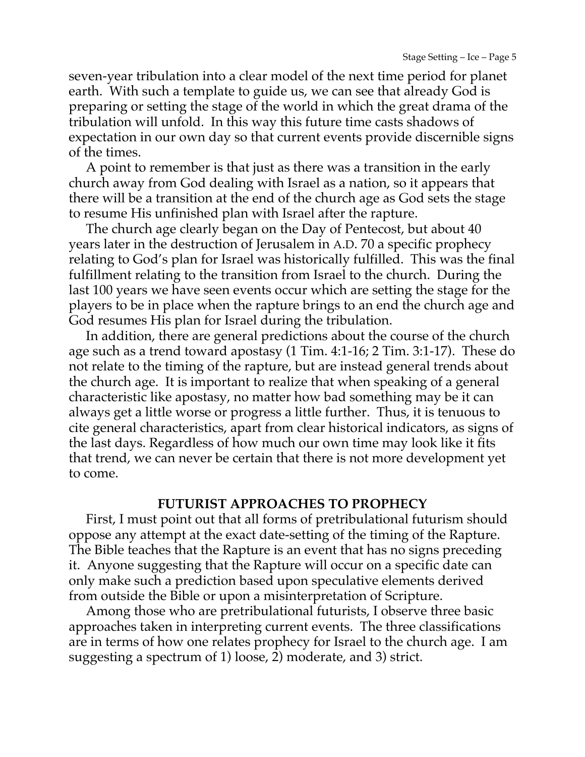seven-year tribulation into a clear model of the next time period for planet earth. With such a template to guide us, we can see that already God is preparing or setting the stage of the world in which the great drama of the tribulation will unfold. In this way this future time casts shadows of expectation in our own day so that current events provide discernible signs of the times.

A point to remember is that just as there was a transition in the early church away from God dealing with Israel as a nation, so it appears that there will be a transition at the end of the church age as God sets the stage to resume His unfinished plan with Israel after the rapture.

The church age clearly began on the Day of Pentecost, but about 40 years later in the destruction of Jerusalem in A.D. 70 a specific prophecy relating to God's plan for Israel was historically fulfilled. This was the final fulfillment relating to the transition from Israel to the church. During the last 100 years we have seen events occur which are setting the stage for the players to be in place when the rapture brings to an end the church age and God resumes His plan for Israel during the tribulation.

In addition, there are general predictions about the course of the church age such as a trend toward apostasy (1 Tim. 4:1-16; 2 Tim. 3:1-17). These do not relate to the timing of the rapture, but are instead general trends about the church age. It is important to realize that when speaking of a general characteristic like apostasy, no matter how bad something may be it can always get a little worse or progress a little further. Thus, it is tenuous to cite general characteristics, apart from clear historical indicators, as signs of the last days. Regardless of how much our own time may look like it fits that trend, we can never be certain that there is not more development yet to come.

# **FUTURIST APPROACHES TO PROPHECY**

First, I must point out that all forms of pretribulational futurism should oppose any attempt at the exact date-setting of the timing of the Rapture. The Bible teaches that the Rapture is an event that has no signs preceding it. Anyone suggesting that the Rapture will occur on a specific date can only make such a prediction based upon speculative elements derived from outside the Bible or upon a misinterpretation of Scripture.

Among those who are pretribulational futurists, I observe three basic approaches taken in interpreting current events. The three classifications are in terms of how one relates prophecy for Israel to the church age. I am suggesting a spectrum of 1) loose, 2) moderate, and 3) strict.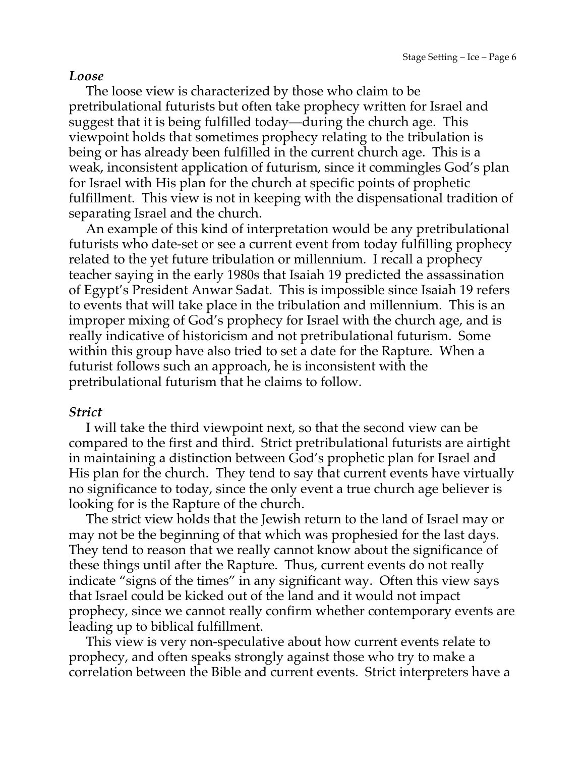### *Loose*

The loose view is characterized by those who claim to be pretribulational futurists but often take prophecy written for Israel and suggest that it is being fulfilled today—during the church age. This viewpoint holds that sometimes prophecy relating to the tribulation is being or has already been fulfilled in the current church age. This is a weak, inconsistent application of futurism, since it commingles God's plan for Israel with His plan for the church at specific points of prophetic fulfillment. This view is not in keeping with the dispensational tradition of separating Israel and the church.

An example of this kind of interpretation would be any pretribulational futurists who date-set or see a current event from today fulfilling prophecy related to the yet future tribulation or millennium. I recall a prophecy teacher saying in the early 1980s that Isaiah 19 predicted the assassination of Egypt's President Anwar Sadat. This is impossible since Isaiah 19 refers to events that will take place in the tribulation and millennium. This is an improper mixing of God's prophecy for Israel with the church age, and is really indicative of historicism and not pretribulational futurism. Some within this group have also tried to set a date for the Rapture. When a futurist follows such an approach, he is inconsistent with the pretribulational futurism that he claims to follow.

### *Strict*

I will take the third viewpoint next, so that the second view can be compared to the first and third. Strict pretribulational futurists are airtight in maintaining a distinction between God's prophetic plan for Israel and His plan for the church. They tend to say that current events have virtually no significance to today, since the only event a true church age believer is looking for is the Rapture of the church.

The strict view holds that the Jewish return to the land of Israel may or may not be the beginning of that which was prophesied for the last days. They tend to reason that we really cannot know about the significance of these things until after the Rapture. Thus, current events do not really indicate "signs of the times" in any significant way. Often this view says that Israel could be kicked out of the land and it would not impact prophecy, since we cannot really confirm whether contemporary events are leading up to biblical fulfillment.

This view is very non-speculative about how current events relate to prophecy, and often speaks strongly against those who try to make a correlation between the Bible and current events. Strict interpreters have a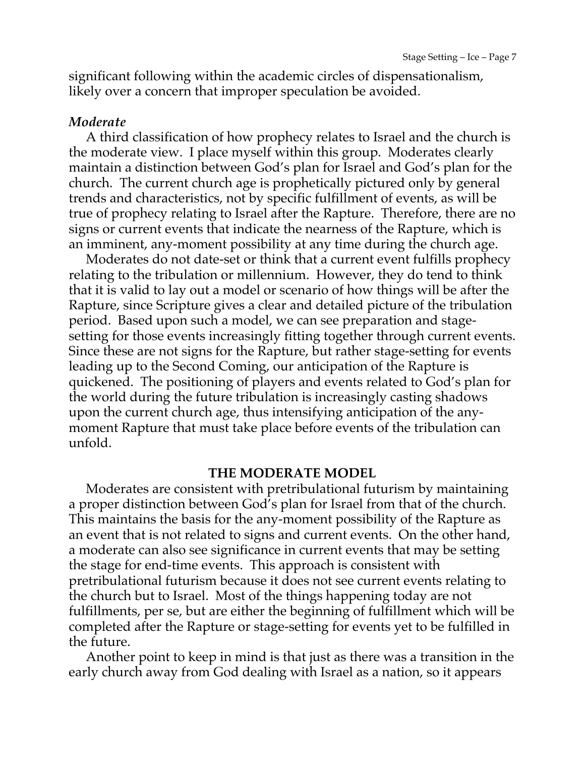significant following within the academic circles of dispensationalism, likely over a concern that improper speculation be avoided.

## *Moderate*

A third classification of how prophecy relates to Israel and the church is the moderate view. I place myself within this group. Moderates clearly maintain a distinction between God's plan for Israel and God's plan for the church. The current church age is prophetically pictured only by general trends and characteristics, not by specific fulfillment of events, as will be true of prophecy relating to Israel after the Rapture. Therefore, there are no signs or current events that indicate the nearness of the Rapture, which is an imminent, any-moment possibility at any time during the church age.

Moderates do not date-set or think that a current event fulfills prophecy relating to the tribulation or millennium. However, they do tend to think that it is valid to lay out a model or scenario of how things will be after the Rapture, since Scripture gives a clear and detailed picture of the tribulation period. Based upon such a model, we can see preparation and stagesetting for those events increasingly fitting together through current events. Since these are not signs for the Rapture, but rather stage-setting for events leading up to the Second Coming, our anticipation of the Rapture is quickened. The positioning of players and events related to God's plan for the world during the future tribulation is increasingly casting shadows upon the current church age, thus intensifying anticipation of the anymoment Rapture that must take place before events of the tribulation can unfold.

## **THE MODERATE MODEL**

Moderates are consistent with pretribulational futurism by maintaining a proper distinction between God's plan for Israel from that of the church. This maintains the basis for the any-moment possibility of the Rapture as an event that is not related to signs and current events. On the other hand, a moderate can also see significance in current events that may be setting the stage for end-time events. This approach is consistent with pretribulational futurism because it does not see current events relating to the church but to Israel. Most of the things happening today are not fulfillments, per se, but are either the beginning of fulfillment which will be completed after the Rapture or stage-setting for events yet to be fulfilled in the future.

Another point to keep in mind is that just as there was a transition in the early church away from God dealing with Israel as a nation, so it appears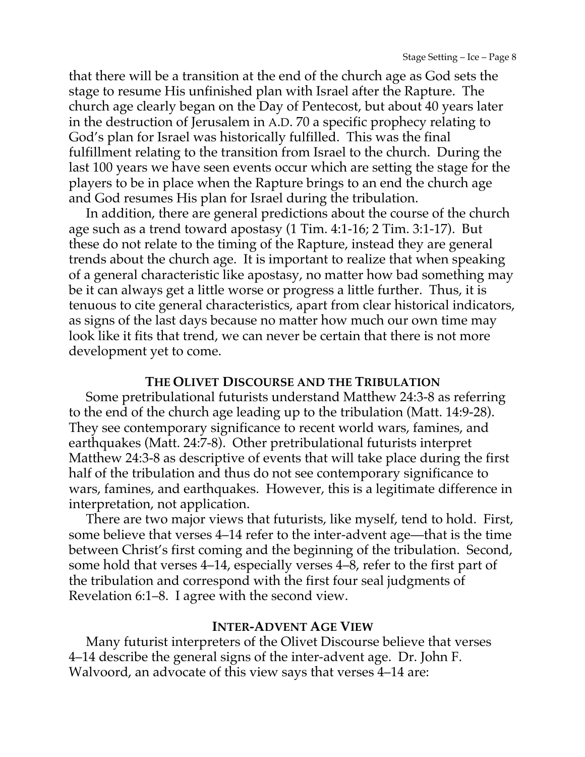that there will be a transition at the end of the church age as God sets the stage to resume His unfinished plan with Israel after the Rapture. The church age clearly began on the Day of Pentecost, but about 40 years later in the destruction of Jerusalem in A.D. 70 a specific prophecy relating to God's plan for Israel was historically fulfilled. This was the final fulfillment relating to the transition from Israel to the church. During the last 100 years we have seen events occur which are setting the stage for the players to be in place when the Rapture brings to an end the church age and God resumes His plan for Israel during the tribulation.

In addition, there are general predictions about the course of the church age such as a trend toward apostasy (1 Tim. 4:1-16; 2 Tim. 3:1-17). But these do not relate to the timing of the Rapture, instead they are general trends about the church age. It is important to realize that when speaking of a general characteristic like apostasy, no matter how bad something may be it can always get a little worse or progress a little further. Thus, it is tenuous to cite general characteristics, apart from clear historical indicators, as signs of the last days because no matter how much our own time may look like it fits that trend, we can never be certain that there is not more development yet to come.

### **THE OLIVET DISCOURSE AND THE TRIBULATION**

Some pretribulational futurists understand Matthew 24:3-8 as referring to the end of the church age leading up to the tribulation (Matt. 14:9-28). They see contemporary significance to recent world wars, famines, and earthquakes (Matt. 24:7-8). Other pretribulational futurists interpret Matthew 24:3-8 as descriptive of events that will take place during the first half of the tribulation and thus do not see contemporary significance to wars, famines, and earthquakes. However, this is a legitimate difference in interpretation, not application.

There are two major views that futurists, like myself, tend to hold. First, some believe that verses 4–14 refer to the inter-advent age—that is the time between Christ's first coming and the beginning of the tribulation. Second, some hold that verses 4–14, especially verses 4–8, refer to the first part of the tribulation and correspond with the first four seal judgments of Revelation 6:1–8. I agree with the second view.

## **INTER-ADVENT AGE VIEW**

Many futurist interpreters of the Olivet Discourse believe that verses 4–14 describe the general signs of the inter-advent age. Dr. John F. Walvoord, an advocate of this view says that verses 4–14 are: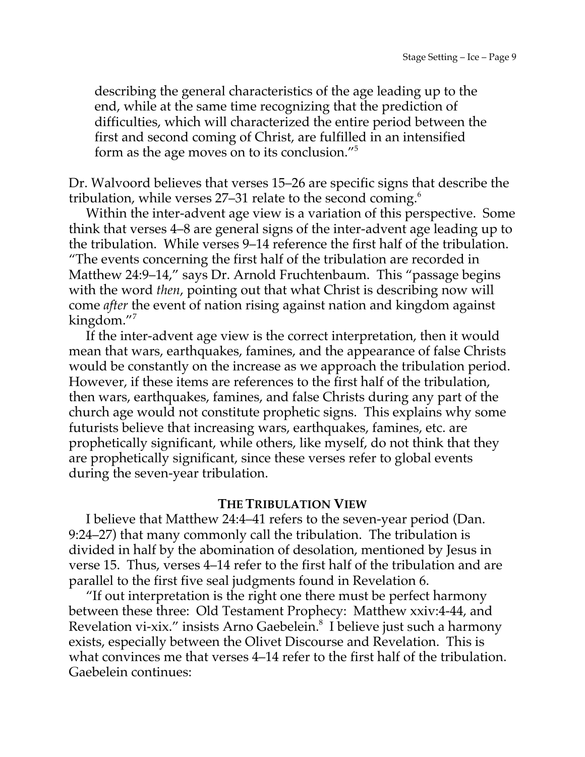describing the general characteristics of the age leading up to the end, while at the same time recognizing that the prediction of difficulties, which will characterized the entire period between the first and second coming of Christ, are fulfilled in an intensified form as the age moves on to its conclusion."5

Dr. Walvoord believes that verses 15–26 are specific signs that describe the tribulation, while verses 27–31 relate to the second coming. $\degree$ 

Within the inter-advent age view is a variation of this perspective. Some think that verses 4–8 are general signs of the inter-advent age leading up to the tribulation. While verses 9–14 reference the first half of the tribulation. "The events concerning the first half of the tribulation are recorded in Matthew 24:9–14," says Dr. Arnold Fruchtenbaum. This "passage begins with the word *then*, pointing out that what Christ is describing now will come *after* the event of nation rising against nation and kingdom against kingdom."<sup>7</sup>

If the inter-advent age view is the correct interpretation, then it would mean that wars, earthquakes, famines, and the appearance of false Christs would be constantly on the increase as we approach the tribulation period. However, if these items are references to the first half of the tribulation, then wars, earthquakes, famines, and false Christs during any part of the church age would not constitute prophetic signs. This explains why some futurists believe that increasing wars, earthquakes, famines, etc. are prophetically significant, while others, like myself, do not think that they are prophetically significant, since these verses refer to global events during the seven-year tribulation.

### **THE TRIBULATION VIEW**

I believe that Matthew 24:4–41 refers to the seven-year period (Dan. 9:24–27) that many commonly call the tribulation. The tribulation is divided in half by the abomination of desolation, mentioned by Jesus in verse 15. Thus, verses 4–14 refer to the first half of the tribulation and are parallel to the first five seal judgments found in Revelation 6.

"If out interpretation is the right one there must be perfect harmony between these three: Old Testament Prophecy: Matthew xxiv:4-44, and Revelation vi-xix." insists Arno Gaebelein.<sup>8</sup> I believe just such a harmony exists, especially between the Olivet Discourse and Revelation. This is what convinces me that verses 4–14 refer to the first half of the tribulation. Gaebelein continues: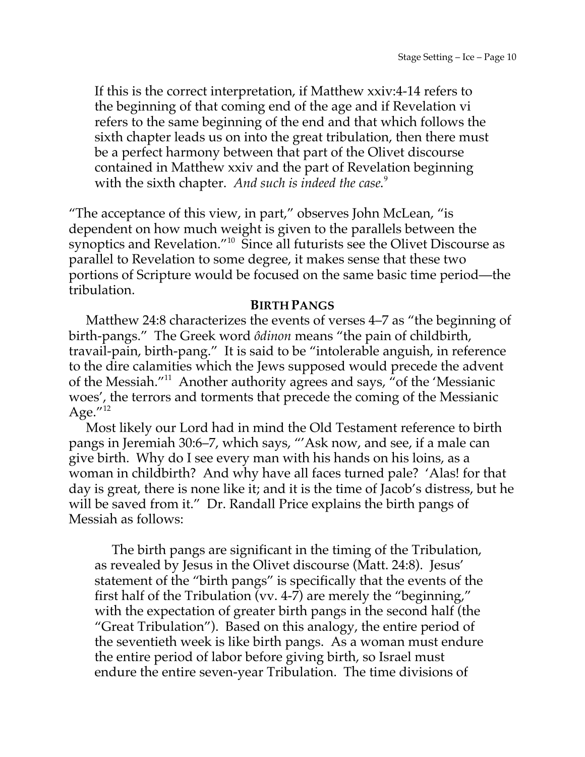If this is the correct interpretation, if Matthew xxiv:4-14 refers to the beginning of that coming end of the age and if Revelation vi refers to the same beginning of the end and that which follows the sixth chapter leads us on into the great tribulation, then there must be a perfect harmony between that part of the Olivet discourse contained in Matthew xxiv and the part of Revelation beginning with the sixth chapter. *And such is indeed the case*. 9

"The acceptance of this view, in part," observes John McLean, "is dependent on how much weight is given to the parallels between the synoptics and Revelation."10 Since all futurists see the Olivet Discourse as parallel to Revelation to some degree, it makes sense that these two portions of Scripture would be focused on the same basic time period—the tribulation.

#### **BIRTH PANGS**

Matthew 24:8 characterizes the events of verses 4–7 as "the beginning of birth-pangs." The Greek word *ôdinon* means "the pain of childbirth, travail-pain, birth-pang." It is said to be "intolerable anguish, in reference to the dire calamities which the Jews supposed would precede the advent of the Messiah."<sup>11</sup> Another authority agrees and says, "of the 'Messianic woes', the terrors and torments that precede the coming of the Messianic Age. $^{\prime\prime}$ <sup>12</sup>

Most likely our Lord had in mind the Old Testament reference to birth pangs in Jeremiah 30:6–7, which says, "'Ask now, and see, if a male can give birth. Why do I see every man with his hands on his loins, as a woman in childbirth? And why have all faces turned pale? 'Alas! for that day is great, there is none like it; and it is the time of Jacob's distress, but he will be saved from it." Dr. Randall Price explains the birth pangs of Messiah as follows:

The birth pangs are significant in the timing of the Tribulation, as revealed by Jesus in the Olivet discourse (Matt. 24:8). Jesus' statement of the "birth pangs" is specifically that the events of the first half of the Tribulation (vv. 4-7) are merely the "beginning," with the expectation of greater birth pangs in the second half (the "Great Tribulation"). Based on this analogy, the entire period of the seventieth week is like birth pangs. As a woman must endure the entire period of labor before giving birth, so Israel must endure the entire seven-year Tribulation. The time divisions of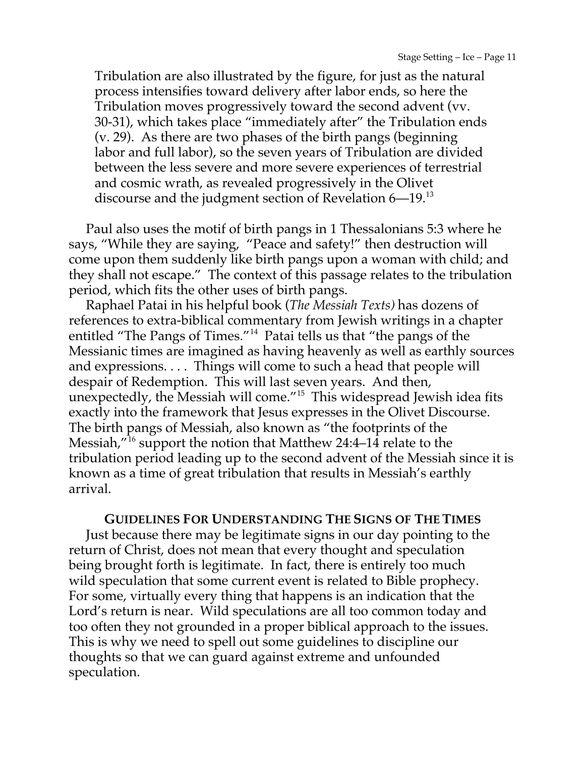Tribulation are also illustrated by the figure, for just as the natural process intensifies toward delivery after labor ends, so here the Tribulation moves progressively toward the second advent (vv. 30-31), which takes place "immediately after" the Tribulation ends (v. 29). As there are two phases of the birth pangs (beginning labor and full labor), so the seven years of Tribulation are divided between the less severe and more severe experiences of terrestrial and cosmic wrath, as revealed progressively in the Olivet discourse and the judgment section of Revelation  $6-19$ .<sup>13</sup>

Paul also uses the motif of birth pangs in 1 Thessalonians 5:3 where he says, "While they are saying, "Peace and safety!" then destruction will come upon them suddenly like birth pangs upon a woman with child; and they shall not escape." The context of this passage relates to the tribulation period, which fits the other uses of birth pangs.

Raphael Patai in his helpful book (*The Messiah Texts)* has dozens of references to extra-biblical commentary from Jewish writings in a chapter entitled "The Pangs of Times."<sup>14</sup> Patai tells us that "the pangs of the Messianic times are imagined as having heavenly as well as earthly sources and expressions. . . . Things will come to such a head that people will despair of Redemption. This will last seven years. And then, unexpectedly*,* the Messiah will come."<sup>15</sup> This widespread Jewish idea fits exactly into the framework that Jesus expresses in the Olivet Discourse. The birth pangs of Messiah, also known as "the footprints of the Messiah,"<sup>16</sup> support the notion that Matthew 24:4–14 relate to the tribulation period leading up to the second advent of the Messiah since it is known as a time of great tribulation that results in Messiah's earthly arrival.

#### **GUIDELINES FOR UNDERSTANDING THE SIGNS OF THE TIMES**

Just because there may be legitimate signs in our day pointing to the return of Christ, does not mean that every thought and speculation being brought forth is legitimate. In fact, there is entirely too much wild speculation that some current event is related to Bible prophecy. For some, virtually every thing that happens is an indication that the Lord's return is near. Wild speculations are all too common today and too often they not grounded in a proper biblical approach to the issues. This is why we need to spell out some guidelines to discipline our thoughts so that we can guard against extreme and unfounded speculation.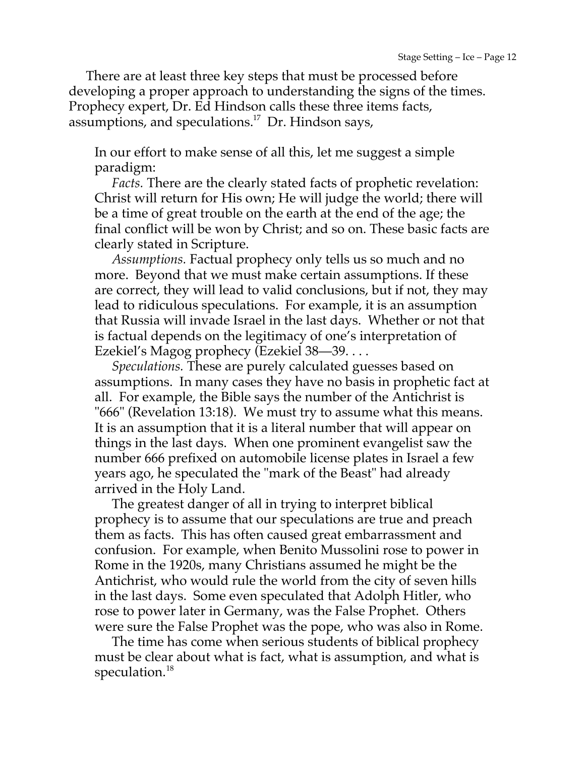There are at least three key steps that must be processed before developing a proper approach to understanding the signs of the times. Prophecy expert, Dr. Ed Hindson calls these three items facts, assumptions, and speculations. $^{17}$  Dr. Hindson says,

In our effort to make sense of all this, let me suggest a simple paradigm:

*Facts.* There are the clearly stated facts of prophetic revelation: Christ will return for His own; He will judge the world; there will be a time of great trouble on the earth at the end of the age; the final conflict will be won by Christ; and so on. These basic facts are clearly stated in Scripture.

*Assumptions.* Factual prophecy only tells us so much and no more. Beyond that we must make certain assumptions. If these are correct, they will lead to valid conclusions, but if not, they may lead to ridiculous speculations. For example, it is an assumption that Russia will invade Israel in the last days. Whether or not that is factual depends on the legitimacy of one's interpretation of Ezekiel's Magog prophecy (Ezekiel 38—39. . . .

*Speculations.* These are purely calculated guesses based on assumptions. In many cases they have no basis in prophetic fact at all. For example, the Bible says the number of the Antichrist is "666" (Revelation 13:18). We must try to assume what this means. It is an assumption that it is a literal number that will appear on things in the last days. When one prominent evangelist saw the number 666 prefixed on automobile license plates in Israel a few years ago, he speculated the "mark of the Beast" had already arrived in the Holy Land.

The greatest danger of all in trying to interpret biblical prophecy is to assume that our speculations are true and preach them as facts. This has often caused great embarrassment and confusion. For example, when Benito Mussolini rose to power in Rome in the 1920s, many Christians assumed he might be the Antichrist, who would rule the world from the city of seven hills in the last days. Some even speculated that Adolph Hitler, who rose to power later in Germany, was the False Prophet. Others were sure the False Prophet was the pope, who was also in Rome.

The time has come when serious students of biblical prophecy must be clear about what is fact, what is assumption, and what is speculation.<sup>18</sup>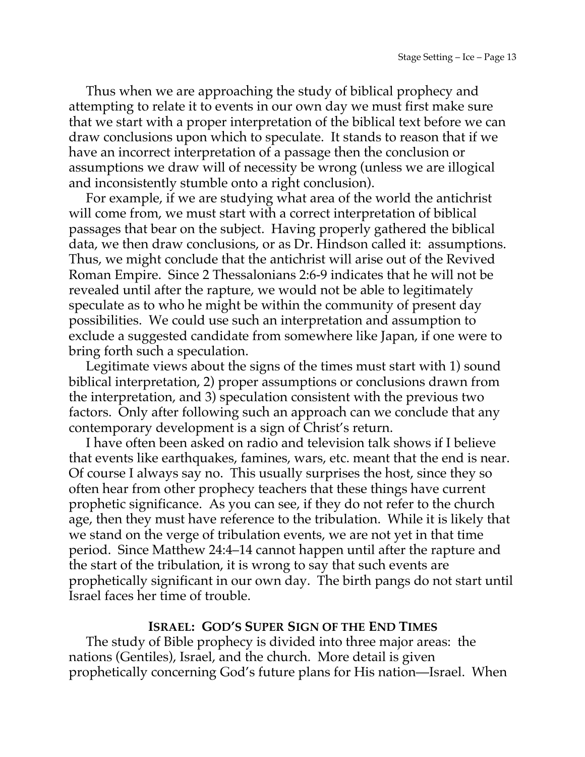Thus when we are approaching the study of biblical prophecy and attempting to relate it to events in our own day we must first make sure that we start with a proper interpretation of the biblical text before we can draw conclusions upon which to speculate. It stands to reason that if we have an incorrect interpretation of a passage then the conclusion or assumptions we draw will of necessity be wrong (unless we are illogical and inconsistently stumble onto a right conclusion).

For example, if we are studying what area of the world the antichrist will come from, we must start with a correct interpretation of biblical passages that bear on the subject. Having properly gathered the biblical data, we then draw conclusions, or as Dr. Hindson called it: assumptions. Thus, we might conclude that the antichrist will arise out of the Revived Roman Empire. Since 2 Thessalonians 2:6-9 indicates that he will not be revealed until after the rapture, we would not be able to legitimately speculate as to who he might be within the community of present day possibilities. We could use such an interpretation and assumption to exclude a suggested candidate from somewhere like Japan, if one were to bring forth such a speculation.

Legitimate views about the signs of the times must start with 1) sound biblical interpretation, 2) proper assumptions or conclusions drawn from the interpretation, and 3) speculation consistent with the previous two factors. Only after following such an approach can we conclude that any contemporary development is a sign of Christ's return.

I have often been asked on radio and television talk shows if I believe that events like earthquakes, famines, wars, etc. meant that the end is near. Of course I always say no. This usually surprises the host, since they so often hear from other prophecy teachers that these things have current prophetic significance. As you can see, if they do not refer to the church age, then they must have reference to the tribulation. While it is likely that we stand on the verge of tribulation events, we are not yet in that time period. Since Matthew 24:4–14 cannot happen until after the rapture and the start of the tribulation, it is wrong to say that such events are prophetically significant in our own day. The birth pangs do not start until Israel faces her time of trouble.

# **ISRAEL: GOD'S SUPER SIGN OF THE END TIMES**

The study of Bible prophecy is divided into three major areas: the nations (Gentiles), Israel, and the church. More detail is given prophetically concerning God's future plans for His nation—Israel. When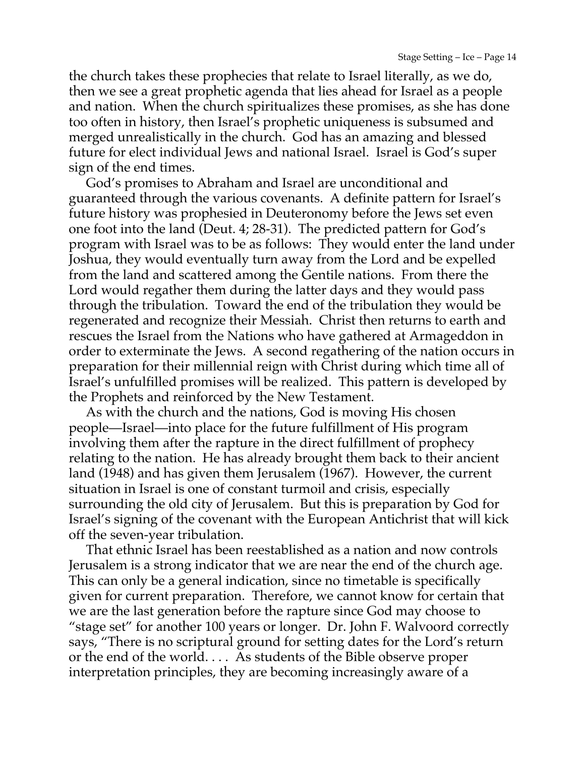the church takes these prophecies that relate to Israel literally, as we do, then we see a great prophetic agenda that lies ahead for Israel as a people and nation. When the church spiritualizes these promises, as she has done too often in history, then Israel's prophetic uniqueness is subsumed and merged unrealistically in the church. God has an amazing and blessed future for elect individual Jews and national Israel. Israel is God's super sign of the end times.

God's promises to Abraham and Israel are unconditional and guaranteed through the various covenants. A definite pattern for Israel's future history was prophesied in Deuteronomy before the Jews set even one foot into the land (Deut. 4; 28-31). The predicted pattern for God's program with Israel was to be as follows: They would enter the land under Joshua, they would eventually turn away from the Lord and be expelled from the land and scattered among the Gentile nations. From there the Lord would regather them during the latter days and they would pass through the tribulation. Toward the end of the tribulation they would be regenerated and recognize their Messiah. Christ then returns to earth and rescues the Israel from the Nations who have gathered at Armageddon in order to exterminate the Jews. A second regathering of the nation occurs in preparation for their millennial reign with Christ during which time all of Israel's unfulfilled promises will be realized. This pattern is developed by the Prophets and reinforced by the New Testament.

As with the church and the nations, God is moving His chosen people—Israel—into place for the future fulfillment of His program involving them after the rapture in the direct fulfillment of prophecy relating to the nation. He has already brought them back to their ancient land (1948) and has given them Jerusalem (1967). However, the current situation in Israel is one of constant turmoil and crisis, especially surrounding the old city of Jerusalem. But this is preparation by God for Israel's signing of the covenant with the European Antichrist that will kick off the seven-year tribulation.

That ethnic Israel has been reestablished as a nation and now controls Jerusalem is a strong indicator that we are near the end of the church age. This can only be a general indication, since no timetable is specifically given for current preparation. Therefore, we cannot know for certain that we are the last generation before the rapture since God may choose to "stage set" for another 100 years or longer. Dr. John F. Walvoord correctly says, "There is no scriptural ground for setting dates for the Lord's return or the end of the world. . . . As students of the Bible observe proper interpretation principles, they are becoming increasingly aware of a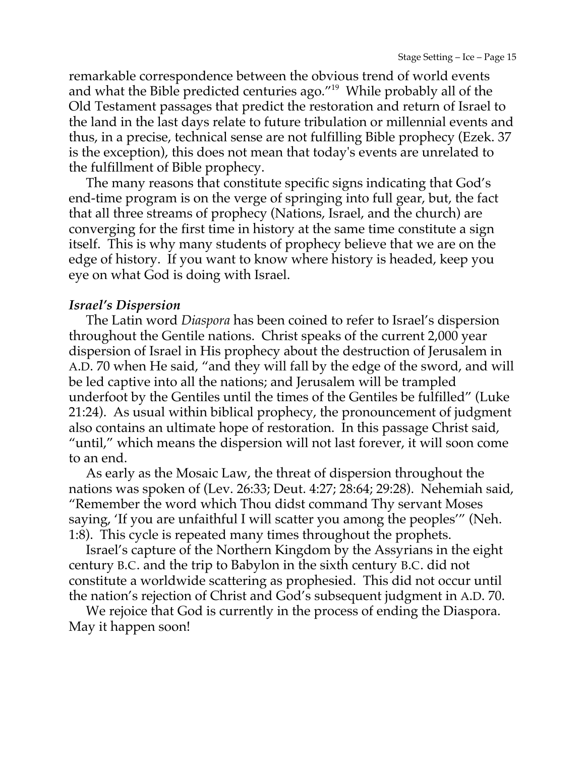remarkable correspondence between the obvious trend of world events and what the Bible predicted centuries ago."<sup>19</sup> While probably all of the Old Testament passages that predict the restoration and return of Israel to the land in the last days relate to future tribulation or millennial events and thus, in a precise, technical sense are not fulfilling Bible prophecy (Ezek. 37 is the exception), this does not mean that today's events are unrelated to the fulfillment of Bible prophecy.

The many reasons that constitute specific signs indicating that God's end-time program is on the verge of springing into full gear, but, the fact that all three streams of prophecy (Nations, Israel, and the church) are converging for the first time in history at the same time constitute a sign itself. This is why many students of prophecy believe that we are on the edge of history. If you want to know where history is headed, keep you eye on what God is doing with Israel.

# *Israel's Dispersion*

The Latin word *Diaspora* has been coined to refer to Israel's dispersion throughout the Gentile nations. Christ speaks of the current 2,000 year dispersion of Israel in His prophecy about the destruction of Jerusalem in A.D. 70 when He said, "and they will fall by the edge of the sword, and will be led captive into all the nations; and Jerusalem will be trampled underfoot by the Gentiles until the times of the Gentiles be fulfilled" (Luke 21:24). As usual within biblical prophecy, the pronouncement of judgment also contains an ultimate hope of restoration. In this passage Christ said, "until," which means the dispersion will not last forever, it will soon come to an end.

As early as the Mosaic Law, the threat of dispersion throughout the nations was spoken of (Lev. 26:33; Deut. 4:27; 28:64; 29:28). Nehemiah said, "Remember the word which Thou didst command Thy servant Moses saying, 'If you are unfaithful I will scatter you among the peoples'" (Neh. 1:8). This cycle is repeated many times throughout the prophets.

Israel's capture of the Northern Kingdom by the Assyrians in the eight century B.C. and the trip to Babylon in the sixth century B.C. did not constitute a worldwide scattering as prophesied. This did not occur until the nation's rejection of Christ and God's subsequent judgment in A.D. 70.

We rejoice that God is currently in the process of ending the Diaspora. May it happen soon!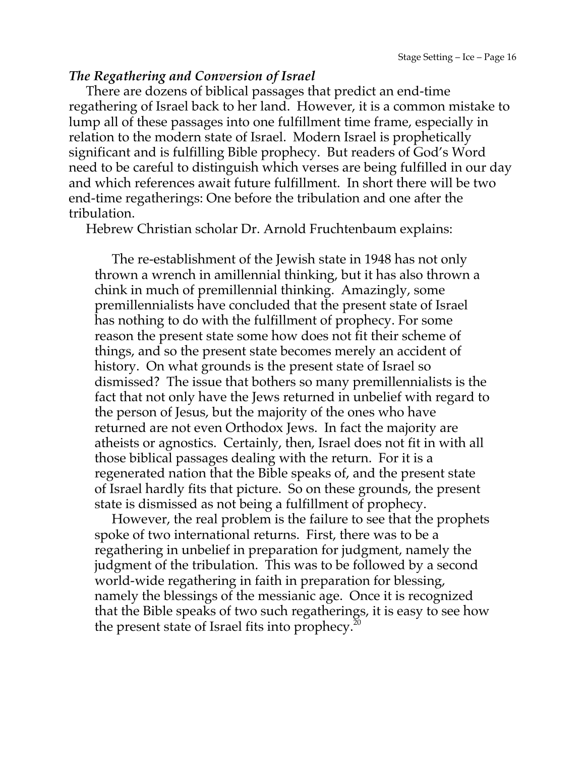#### *The Regathering and Conversion of Israel*

There are dozens of biblical passages that predict an end-time regathering of Israel back to her land. However, it is a common mistake to lump all of these passages into one fulfillment time frame, especially in relation to the modern state of Israel. Modern Israel is prophetically significant and is fulfilling Bible prophecy. But readers of God's Word need to be careful to distinguish which verses are being fulfilled in our day and which references await future fulfillment. In short there will be two end-time regatherings: One before the tribulation and one after the tribulation.

Hebrew Christian scholar Dr. Arnold Fruchtenbaum explains:

The re-establishment of the Jewish state in 1948 has not only thrown a wrench in amillennial thinking, but it has also thrown a chink in much of premillennial thinking. Amazingly, some premillennialists have concluded that the present state of Israel has nothing to do with the fulfillment of prophecy. For some reason the present state some how does not fit their scheme of things, and so the present state becomes merely an accident of history. On what grounds is the present state of Israel so dismissed? The issue that bothers so many premillennialists is the fact that not only have the Jews returned in unbelief with regard to the person of Jesus, but the majority of the ones who have returned are not even Orthodox Jews. In fact the majority are atheists or agnostics. Certainly, then, Israel does not fit in with all those biblical passages dealing with the return. For it is a regenerated nation that the Bible speaks of, and the present state of Israel hardly fits that picture. So on these grounds, the present state is dismissed as not being a fulfillment of prophecy.

However, the real problem is the failure to see that the prophets spoke of two international returns. First, there was to be a regathering in unbelief in preparation for judgment, namely the judgment of the tribulation. This was to be followed by a second world-wide regathering in faith in preparation for blessing, namely the blessings of the messianic age. Once it is recognized that the Bible speaks of two such regatherings, it is easy to see how the present state of Israel fits into prophecy.<sup>2</sup>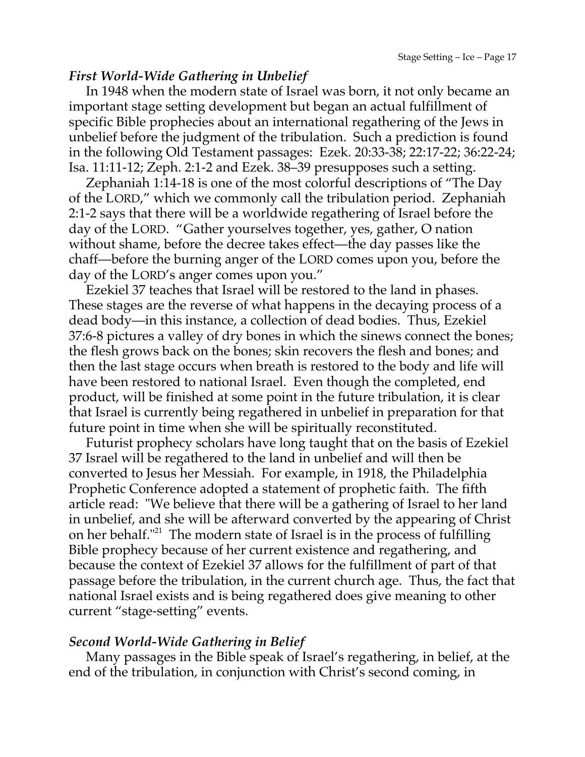## *First World-Wide Gathering in Unbelief*

In 1948 when the modern state of Israel was born, it not only became an important stage setting development but began an actual fulfillment of specific Bible prophecies about an international regathering of the Jews in unbelief before the judgment of the tribulation. Such a prediction is found in the following Old Testament passages: Ezek. 20:33-38; 22:17-22; 36:22-24; Isa. 11:11-12; Zeph. 2:1-2 and Ezek. 38–39 presupposes such a setting.

Zephaniah 1:14-18 is one of the most colorful descriptions of "The Day of the LORD," which we commonly call the tribulation period. Zephaniah 2:1-2 says that there will be a worldwide regathering of Israel before the day of the LORD. "Gather yourselves together, yes, gather, O nation without shame, before the decree takes effect—the day passes like the chaff—before the burning anger of the LORD comes upon you, before the day of the LORD's anger comes upon you."

Ezekiel 37 teaches that Israel will be restored to the land in phases. These stages are the reverse of what happens in the decaying process of a dead body—in this instance, a collection of dead bodies. Thus, Ezekiel 37:6-8 pictures a valley of dry bones in which the sinews connect the bones; the flesh grows back on the bones; skin recovers the flesh and bones; and then the last stage occurs when breath is restored to the body and life will have been restored to national Israel. Even though the completed, end product, will be finished at some point in the future tribulation, it is clear that Israel is currently being regathered in unbelief in preparation for that future point in time when she will be spiritually reconstituted.

Futurist prophecy scholars have long taught that on the basis of Ezekiel 37 Israel will be regathered to the land in unbelief and will then be converted to Jesus her Messiah. For example, in 1918, the Philadelphia Prophetic Conference adopted a statement of prophetic faith. The fifth article read: "We believe that there will be a gathering of Israel to her land in unbelief, and she will be afterward converted by the appearing of Christ on her behalf."<sup>21</sup> The modern state of Israel is in the process of fulfilling Bible prophecy because of her current existence and regathering, and because the context of Ezekiel 37 allows for the fulfillment of part of that passage before the tribulation, in the current church age. Thus, the fact that national Israel exists and is being regathered does give meaning to other current "stage-setting" events.

### *Second World-Wide Gathering in Belief*

Many passages in the Bible speak of Israel's regathering, in belief, at the end of the tribulation, in conjunction with Christ's second coming, in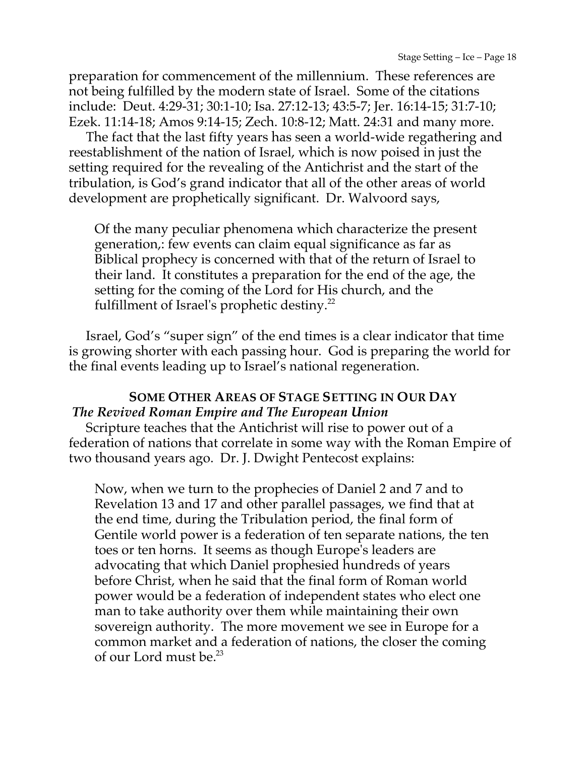preparation for commencement of the millennium. These references are not being fulfilled by the modern state of Israel. Some of the citations include: Deut. 4:29-31; 30:1-10; Isa. 27:12-13; 43:5-7; Jer. 16:14-15; 31:7-10; Ezek. 11:14-18; Amos 9:14-15; Zech. 10:8-12; Matt. 24:31 and many more.

The fact that the last fifty years has seen a world-wide regathering and reestablishment of the nation of Israel, which is now poised in just the setting required for the revealing of the Antichrist and the start of the tribulation, is God's grand indicator that all of the other areas of world development are prophetically significant. Dr. Walvoord says,

Of the many peculiar phenomena which characterize the present generation,: few events can claim equal significance as far as Biblical prophecy is concerned with that of the return of Israel to their land. It constitutes a preparation for the end of the age, the setting for the coming of the Lord for His church, and the fulfillment of Israel's prophetic destiny.<sup>22</sup>

Israel, God's "super sign" of the end times is a clear indicator that time is growing shorter with each passing hour. God is preparing the world for the final events leading up to Israel's national regeneration.

# **SOME OTHER AREAS OF STAGE SETTING IN OUR DAY**  *The Revived Roman Empire and The European Union*

Scripture teaches that the Antichrist will rise to power out of a federation of nations that correlate in some way with the Roman Empire of two thousand years ago. Dr. J. Dwight Pentecost explains:

Now, when we turn to the prophecies of Daniel 2 and 7 and to Revelation 13 and 17 and other parallel passages, we find that at the end time, during the Tribulation period, the final form of Gentile world power is a federation of ten separate nations, the ten toes or ten horns. It seems as though Europe's leaders are advocating that which Daniel prophesied hundreds of years before Christ, when he said that the final form of Roman world power would be a federation of independent states who elect one man to take authority over them while maintaining their own sovereign authority. The more movement we see in Europe for a common market and a federation of nations, the closer the coming of our Lord must be. $^{23}$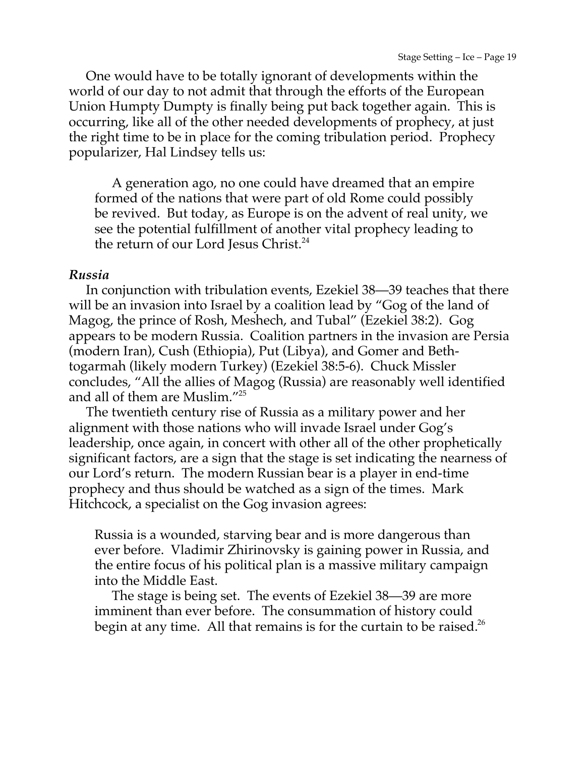One would have to be totally ignorant of developments within the world of our day to not admit that through the efforts of the European Union Humpty Dumpty is finally being put back together again. This is occurring, like all of the other needed developments of prophecy, at just the right time to be in place for the coming tribulation period. Prophecy popularizer, Hal Lindsey tells us:

A generation ago, no one could have dreamed that an empire formed of the nations that were part of old Rome could possibly be revived. But today, as Europe is on the advent of real unity, we see the potential fulfillment of another vital prophecy leading to the return of our Lord Jesus Christ.<sup>24</sup>

# *Russia*

In conjunction with tribulation events, Ezekiel 38—39 teaches that there will be an invasion into Israel by a coalition lead by "Gog of the land of Magog, the prince of Rosh, Meshech, and Tubal" (Ezekiel 38:2). Gog appears to be modern Russia. Coalition partners in the invasion are Persia (modern Iran), Cush (Ethiopia), Put (Libya), and Gomer and Bethtogarmah (likely modern Turkey) (Ezekiel 38:5-6). Chuck Missler concludes, "All the allies of Magog (Russia) are reasonably well identified and all of them are Muslim."25

The twentieth century rise of Russia as a military power and her alignment with those nations who will invade Israel under Gog's leadership, once again, in concert with other all of the other prophetically significant factors, are a sign that the stage is set indicating the nearness of our Lord's return. The modern Russian bear is a player in end-time prophecy and thus should be watched as a sign of the times. Mark Hitchcock, a specialist on the Gog invasion agrees:

Russia is a wounded, starving bear and is more dangerous than ever before. Vladimir Zhirinovsky is gaining power in Russia, and the entire focus of his political plan is a massive military campaign into the Middle East.

The stage is being set. The events of Ezekiel 38—39 are more imminent than ever before. The consummation of history could begin at any time. All that remains is for the curtain to be raised.<sup>26</sup>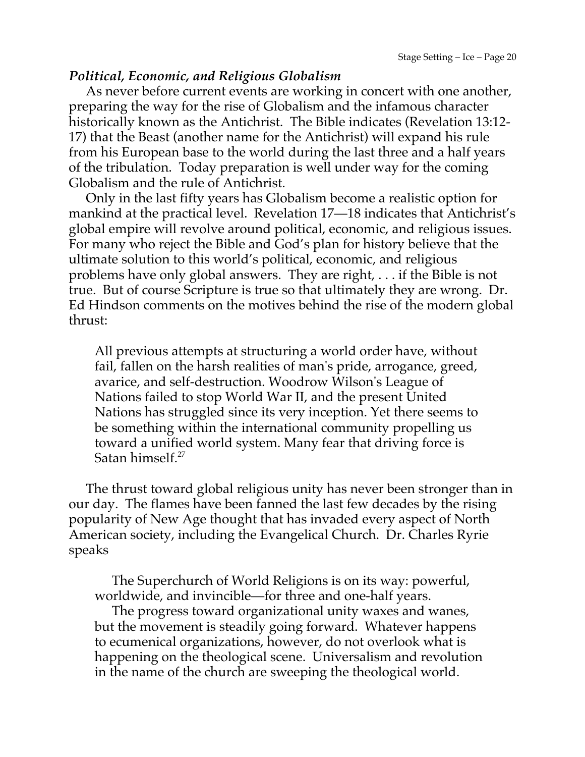# *Political, Economic, and Religious Globalism*

As never before current events are working in concert with one another, preparing the way for the rise of Globalism and the infamous character historically known as the Antichrist. The Bible indicates (Revelation 13:12- 17) that the Beast (another name for the Antichrist) will expand his rule from his European base to the world during the last three and a half years of the tribulation. Today preparation is well under way for the coming Globalism and the rule of Antichrist.

Only in the last fifty years has Globalism become a realistic option for mankind at the practical level. Revelation 17—18 indicates that Antichrist's global empire will revolve around political, economic, and religious issues. For many who reject the Bible and God's plan for history believe that the ultimate solution to this world's political, economic, and religious problems have only global answers. They are right, . . . if the Bible is not true. But of course Scripture is true so that ultimately they are wrong. Dr. Ed Hindson comments on the motives behind the rise of the modern global thrust:

All previous attempts at structuring a world order have, without fail, fallen on the harsh realities of man's pride, arrogance, greed, avarice, and self-destruction. Woodrow Wilson's League of Nations failed to stop World War II, and the present United Nations has struggled since its very inception. Yet there seems to be something within the international community propelling us toward a unified world system. Many fear that driving force is Satan himself.<sup>27</sup>

The thrust toward global religious unity has never been stronger than in our day. The flames have been fanned the last few decades by the rising popularity of New Age thought that has invaded every aspect of North American society, including the Evangelical Church. Dr. Charles Ryrie speaks

The Superchurch of World Religions is on its way: powerful, worldwide, and invincible—for three and one-half years.

The progress toward organizational unity waxes and wanes, but the movement is steadily going forward. Whatever happens to ecumenical organizations, however, do not overlook what is happening on the theological scene. Universalism and revolution in the name of the church are sweeping the theological world.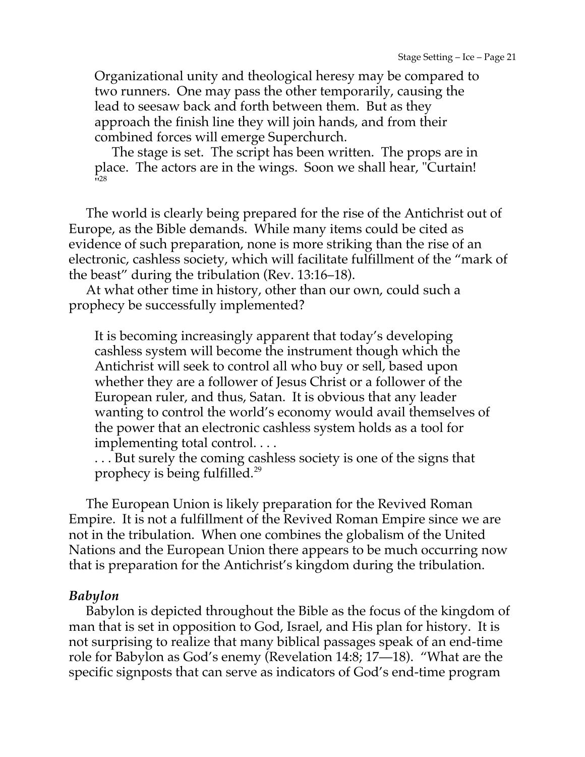Organizational unity and theological heresy may be compared to two runners. One may pass the other temporarily, causing the lead to seesaw back and forth between them. But as they approach the finish line they will join hands, and from their combined forces will emerge Superchurch.

The stage is set. The script has been written. The props are in place. The actors are in the wings. Soon we shall hear, "Curtain!  $\overline{1}$  28

The world is clearly being prepared for the rise of the Antichrist out of Europe, as the Bible demands. While many items could be cited as evidence of such preparation, none is more striking than the rise of an electronic, cashless society, which will facilitate fulfillment of the "mark of the beast" during the tribulation (Rev. 13:16–18).

At what other time in history, other than our own, could such a prophecy be successfully implemented?

It is becoming increasingly apparent that today's developing cashless system will become the instrument though which the Antichrist will seek to control all who buy or sell, based upon whether they are a follower of Jesus Christ or a follower of the European ruler, and thus, Satan. It is obvious that any leader wanting to control the world's economy would avail themselves of the power that an electronic cashless system holds as a tool for implementing total control. . . .

. . . But surely the coming cashless society is one of the signs that prophecy is being fulfilled.<sup>29</sup>

The European Union is likely preparation for the Revived Roman Empire. It is not a fulfillment of the Revived Roman Empire since we are not in the tribulation. When one combines the globalism of the United Nations and the European Union there appears to be much occurring now that is preparation for the Antichrist's kingdom during the tribulation.

## *Babylon*

Babylon is depicted throughout the Bible as the focus of the kingdom of man that is set in opposition to God, Israel, and His plan for history. It is not surprising to realize that many biblical passages speak of an end-time role for Babylon as God's enemy (Revelation 14:8; 17—18). "What are the specific signposts that can serve as indicators of God's end-time program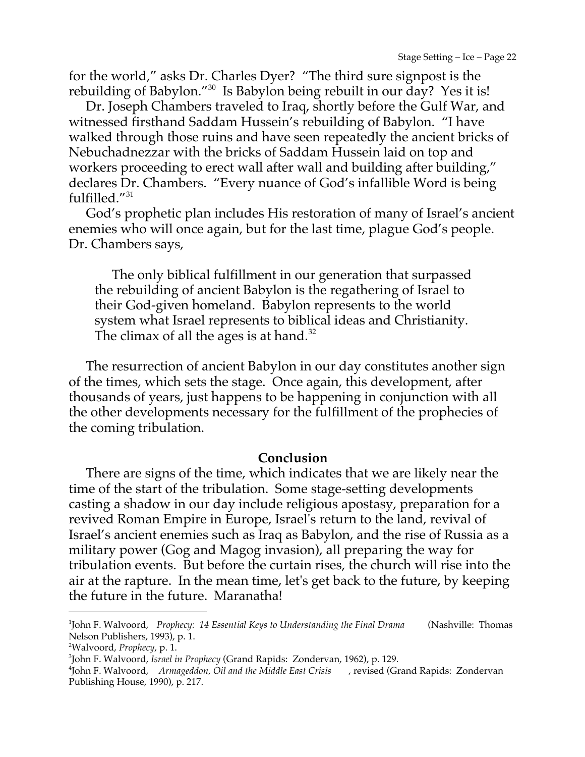for the world," asks Dr. Charles Dyer? "The third sure signpost is the rebuilding of Babylon."<sup>30</sup> Is Babylon being rebuilt in our day? Yes it is!

Dr. Joseph Chambers traveled to Iraq, shortly before the Gulf War, and witnessed firsthand Saddam Hussein's rebuilding of Babylon. "I have walked through those ruins and have seen repeatedly the ancient bricks of Nebuchadnezzar with the bricks of Saddam Hussein laid on top and workers proceeding to erect wall after wall and building after building," declares Dr. Chambers. "Every nuance of God's infallible Word is being fulfilled."<sup>31</sup>

God's prophetic plan includes His restoration of many of Israel's ancient enemies who will once again, but for the last time, plague God's people. Dr. Chambers says,

The only biblical fulfillment in our generation that surpassed the rebuilding of ancient Babylon is the regathering of Israel to their God-given homeland. Babylon represents to the world system what Israel represents to biblical ideas and Christianity. The climax of all the ages is at hand.<sup>32</sup>

The resurrection of ancient Babylon in our day constitutes another sign of the times, which sets the stage. Once again, this development, after thousands of years, just happens to be happening in conjunction with all the other developments necessary for the fulfillment of the prophecies of the coming tribulation.

## **Conclusion**

There are signs of the time, which indicates that we are likely near the time of the start of the tribulation. Some stage-setting developments casting a shadow in our day include religious apostasy, preparation for a revived Roman Empire in Europe, Israel's return to the land, revival of Israel's ancient enemies such as Iraq as Babylon, and the rise of Russia as a military power (Gog and Magog invasion), all preparing the way for tribulation events. But before the curtain rises, the church will rise into the air at the rapture. In the mean time, let's get back to the future, by keeping the future in the future. Maranatha!

 $\frac{1}{1}$ <sup>1</sup>John F. Walvoord, *Prophecy: 14 Essential Keys to Understanding the Final Drama* (Nashville: Thomas Nelson Publishers, 1993), p. 1.

<sup>2</sup> Walvoord, *Prophecy*, p. 1.

<sup>3</sup> John F. Walvoord, *Israel in Prophecy* (Grand Rapids: Zondervan, 1962), p. 129.

<sup>4</sup> John F. Walvoord, *Armageddon, Oil and the Middle East Crisis* , revised (Grand Rapids: Zondervan Publishing House, 1990), p. 217.